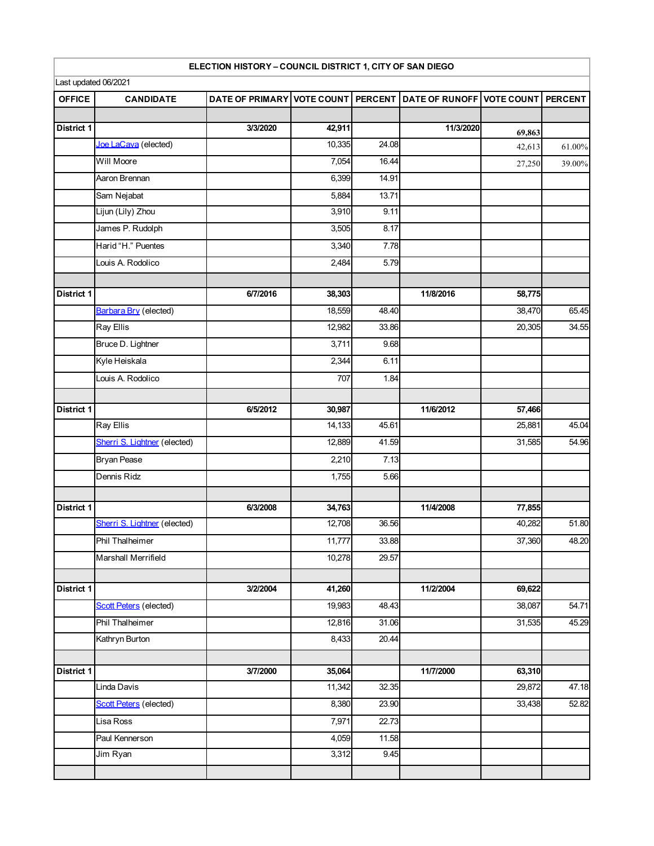| Last updated 06/2021 |                               | ELECTION HISTORY - COUNCIL DISTRICT 1, CITY OF SAN DIEGO |        |                |                                                      |        |           |
|----------------------|-------------------------------|----------------------------------------------------------|--------|----------------|------------------------------------------------------|--------|-----------|
| <b>OFFICE</b>        | <b>CANDIDATE</b>              | <b>DATE OF PRIMARY</b>                                   |        |                | VOTE COUNT PERCENT DATE OF RUNOFF VOTE COUNT PERCENT |        |           |
|                      |                               |                                                          |        |                |                                                      |        |           |
| District 1           |                               | 3/3/2020                                                 | 42,911 |                | 11/3/2020                                            | 69,863 |           |
|                      | Joe LaCava (elected)          |                                                          | 10,335 | 24.08          |                                                      | 42,613 | $61.00\%$ |
|                      | Will Moore                    |                                                          | 7,054  | 16.44          |                                                      | 27,250 | 39.00%    |
|                      | Aaron Brennan                 |                                                          | 6,399  | 14.91          |                                                      |        |           |
|                      | Sam Nejabat                   |                                                          | 5,884  | 13.71          |                                                      |        |           |
|                      | Lijun (Lily) Zhou             |                                                          | 3,910  | 9.11           |                                                      |        |           |
|                      | James P. Rudolph              |                                                          | 3,505  | 8.17           |                                                      |        |           |
|                      | Harid "H." Puentes            |                                                          | 3,340  | 7.78           |                                                      |        |           |
|                      | Louis A. Rodolico             |                                                          | 2,484  | 5.79           |                                                      |        |           |
| District 1           |                               | 6/7/2016                                                 | 38,303 |                | 11/8/2016                                            | 58,775 |           |
|                      | Barbara Bry (elected)         |                                                          | 18,559 | 48.40          |                                                      | 38,470 | 65.45     |
|                      | Ray Ellis                     |                                                          | 12,982 | 33.86          |                                                      | 20,305 | 34.55     |
|                      | Bruce D. Lightner             |                                                          | 3,711  | 9.68           |                                                      |        |           |
|                      | Kyle Heiskala                 |                                                          | 2,344  | 6.11           |                                                      |        |           |
|                      | Louis A. Rodolico             |                                                          | 707    | 1.84           |                                                      |        |           |
|                      |                               |                                                          |        |                |                                                      |        |           |
| District 1           |                               | 6/5/2012                                                 | 30,987 |                | 11/6/2012                                            | 57,466 |           |
|                      | Ray Ellis                     |                                                          | 14,133 | 45.61          |                                                      | 25,881 | 45.04     |
|                      | Sherri S. Lightner (elected)  |                                                          | 12,889 | 41.59          |                                                      | 31,585 | 54.96     |
|                      | <b>Bryan Pease</b>            |                                                          | 2,210  | 7.13           |                                                      |        |           |
|                      | Dennis Ridz                   |                                                          | 1,755  | 5.66           |                                                      |        |           |
| District 1           |                               | 6/3/2008                                                 | 34,763 |                | 11/4/2008                                            | 77,855 |           |
|                      | Sherri S. Lightner (elected)  |                                                          | 12,708 | 36.56          |                                                      | 40,282 | 51.80     |
|                      | Phil Thalheimer               |                                                          | 11,777 | 33.88          |                                                      | 37,360 | 48.20     |
|                      | Marshall Merrifield           |                                                          | 10,278 | 29.57          |                                                      |        |           |
| District 1           |                               | 3/2/2004                                                 | 41,260 |                | 11/2/2004                                            | 69,622 |           |
|                      | <b>Scott Peters</b> (elected) |                                                          | 19,983 | 48.43          |                                                      | 38,087 | 54.71     |
|                      | Phil Thalheimer               |                                                          | 12,816 | 31.06          |                                                      | 31,535 | 45.29     |
|                      | Kathryn Burton                |                                                          | 8,433  | 20.44          |                                                      |        |           |
| <b>District 1</b>    |                               | 3/7/2000                                                 | 35,064 |                | 11/7/2000                                            | 63,310 |           |
|                      | Linda Davis                   |                                                          | 11,342 | 32.35          |                                                      | 29,872 | 47.18     |
|                      | <b>Scott Peters</b> (elected) |                                                          | 8,380  |                |                                                      | 33,438 | 52.82     |
|                      | Lisa Ross                     |                                                          | 7,971  | 23.90<br>22.73 |                                                      |        |           |
|                      | Paul Kennerson                |                                                          | 4,059  | 11.58          |                                                      |        |           |
|                      | Jim Ryan                      |                                                          | 3,312  | 9.45           |                                                      |        |           |
|                      |                               |                                                          |        |                |                                                      |        |           |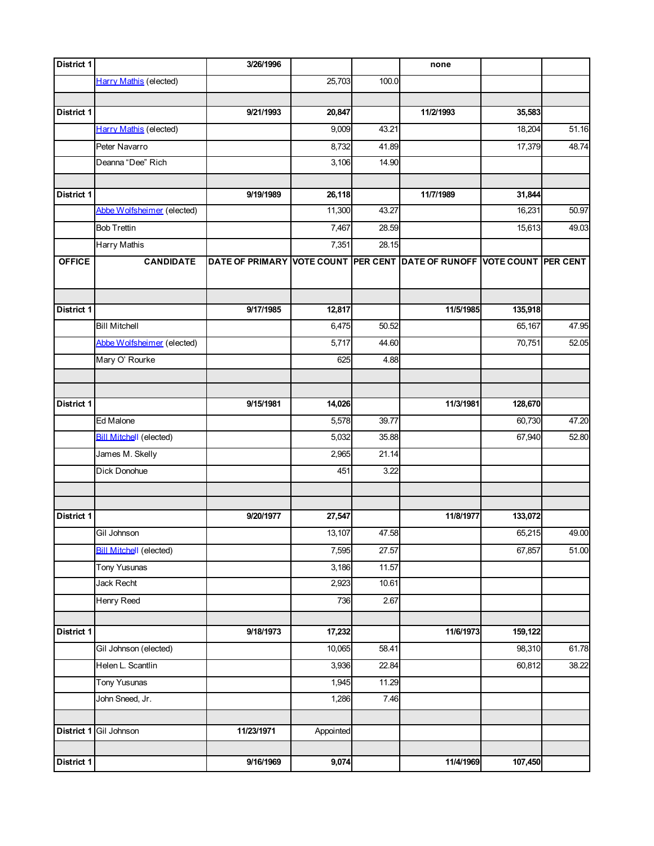| District 1        |                                | 3/26/1996                                                              |                    |       | none      |         |       |
|-------------------|--------------------------------|------------------------------------------------------------------------|--------------------|-------|-----------|---------|-------|
|                   | <b>Harry Mathis (elected)</b>  |                                                                        | 25,703             | 100.0 |           |         |       |
|                   |                                |                                                                        |                    |       |           |         |       |
| District 1        |                                | 9/21/1993                                                              | 20,847             |       | 11/2/1993 | 35,583  |       |
|                   | <b>Harry Mathis (elected)</b>  |                                                                        | 9,009              | 43.21 |           | 18,204  | 51.16 |
|                   | Peter Navarro                  |                                                                        | 8,732              | 41.89 |           | 17,379  | 48.74 |
|                   | Deanna "Dee" Rich              |                                                                        | 3,106              | 14.90 |           |         |       |
|                   |                                |                                                                        |                    |       |           |         |       |
| District 1        |                                | 9/19/1989                                                              | 26,118             |       | 11/7/1989 | 31,844  |       |
|                   | Abbe Wolfsheimer (elected)     |                                                                        | 11,300             | 43.27 |           | 16,231  | 50.97 |
|                   | <b>Bob Trettin</b>             |                                                                        | 7,467              | 28.59 |           | 15,613  | 49.03 |
|                   | Harry Mathis                   |                                                                        | 7,351              | 28.15 |           |         |       |
| <b>OFFICE</b>     | <b>CANDIDATE</b>               | DATE OF PRIMARY VOTE COUNT PER CENT DATE OF RUNOFF VOTE COUNT PER CENT |                    |       |           |         |       |
|                   |                                |                                                                        |                    |       |           |         |       |
|                   |                                |                                                                        |                    |       |           |         |       |
| District 1        |                                | 9/17/1985                                                              | 12,817             |       | 11/5/1985 | 135,918 |       |
|                   | <b>Bill Mitchell</b>           |                                                                        | 6,475              | 50.52 |           | 65,167  | 47.95 |
|                   | Abbe Wolfsheimer (elected)     |                                                                        | $\overline{5,717}$ | 44.60 |           | 70,751  | 52.05 |
|                   | Mary O' Rourke                 |                                                                        | 625                | 4.88  |           |         |       |
|                   |                                |                                                                        |                    |       |           |         |       |
| District 1        |                                | 9/15/1981                                                              | 14,026             |       | 11/3/1981 | 128,670 |       |
|                   | Ed Malone                      |                                                                        | 5,578              | 39.77 |           | 60,730  | 47.20 |
|                   | <b>Bill Mitchell</b> (elected) |                                                                        | 5,032              | 35.88 |           | 67,940  | 52.80 |
|                   | James M. Skelly                |                                                                        | 2,965              | 21.14 |           |         |       |
|                   | Dick Donohue                   |                                                                        | 451                | 3.22  |           |         |       |
|                   |                                |                                                                        |                    |       |           |         |       |
|                   |                                |                                                                        |                    |       |           |         |       |
| District 1        |                                | 9/20/1977                                                              | 27,547             |       | 11/8/1977 | 133,072 |       |
|                   | Gil Johnson                    |                                                                        | 13,107             | 47.58 |           | 65,215  | 49.00 |
|                   | <b>Bill Mitchell (elected)</b> |                                                                        | 7,595              | 27.57 |           | 67,857  | 51.00 |
|                   | <b>Tony Yusunas</b>            |                                                                        | 3,186              | 11.57 |           |         |       |
|                   | Jack Recht                     |                                                                        | 2,923              | 10.61 |           |         |       |
|                   | <b>Henry Reed</b>              |                                                                        | 736                | 2.67  |           |         |       |
|                   |                                |                                                                        |                    |       |           |         |       |
| District 1        |                                | 9/18/1973                                                              | 17,232             |       | 11/6/1973 | 159,122 |       |
|                   | Gil Johnson (elected)          |                                                                        | 10,065             | 58.41 |           | 98,310  | 61.78 |
|                   | Helen L. Scantlin              |                                                                        | 3,936              | 22.84 |           | 60,812  | 38.22 |
|                   | <b>Tony Yusunas</b>            |                                                                        | 1,945              | 11.29 |           |         |       |
|                   | John Sneed, Jr.                |                                                                        | 1,286              | 7.46  |           |         |       |
|                   |                                |                                                                        |                    |       |           |         |       |
|                   | District 1 Gil Johnson         | 11/23/1971                                                             | Appointed          |       |           |         |       |
|                   |                                |                                                                        |                    |       |           |         |       |
| <b>District 1</b> |                                | 9/16/1969                                                              | 9,074              |       | 11/4/1969 | 107,450 |       |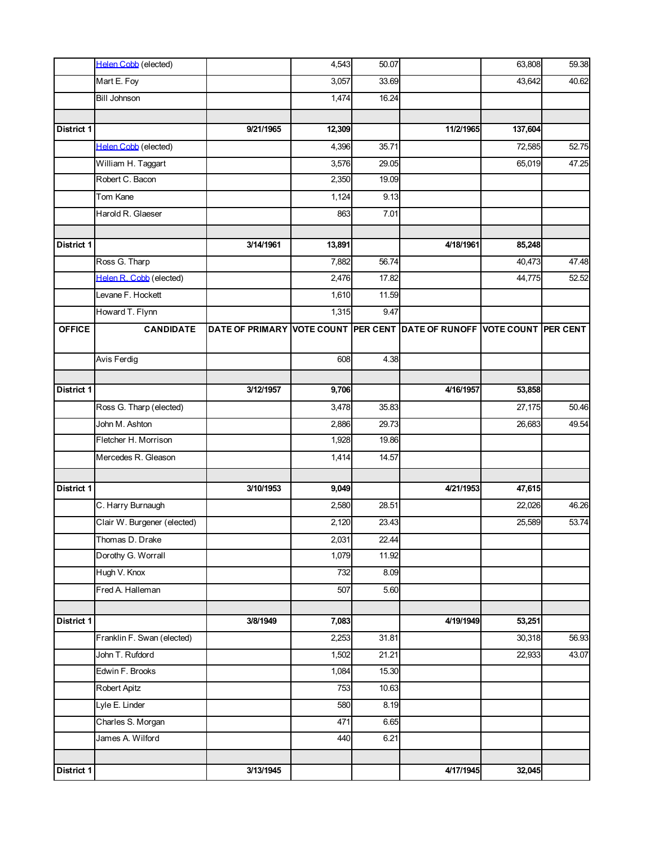|               | <b>Helen Cobb</b> (elected) |                                                                        | 4,543  | 50.07 |           | 63,808  | 59.38 |
|---------------|-----------------------------|------------------------------------------------------------------------|--------|-------|-----------|---------|-------|
|               | Mart E. Foy                 |                                                                        | 3,057  | 33.69 |           | 43,642  | 40.62 |
|               | <b>Bill Johnson</b>         |                                                                        | 1,474  | 16.24 |           |         |       |
| District 1    |                             |                                                                        |        |       |           |         |       |
|               |                             | 9/21/1965                                                              | 12,309 |       | 11/2/1965 | 137,604 |       |
|               | Helen Cobb (elected)        |                                                                        | 4,396  | 35.71 |           | 72,585  | 52.75 |
|               | William H. Taggart          |                                                                        | 3,576  | 29.05 |           | 65,019  | 47.25 |
|               | Robert C. Bacon             |                                                                        | 2,350  | 19.09 |           |         |       |
|               | Tom Kane                    |                                                                        | 1,124  | 9.13  |           |         |       |
|               | Harold R. Glaeser           |                                                                        | 863    | 7.01  |           |         |       |
| District 1    |                             | 3/14/1961                                                              | 13,891 |       | 4/18/1961 | 85,248  |       |
|               | Ross G. Tharp               |                                                                        | 7,882  | 56.74 |           | 40,473  | 47.48 |
|               | Helen R. Cobb (elected)     |                                                                        | 2,476  | 17.82 |           | 44,775  | 52.52 |
|               | Levane F. Hockett           |                                                                        | 1,610  | 11.59 |           |         |       |
|               | Howard T. Flynn             |                                                                        | 1,315  | 9.47  |           |         |       |
| <b>OFFICE</b> | <b>CANDIDATE</b>            | DATE OF PRIMARY VOTE COUNT PER CENT DATE OF RUNOFF VOTE COUNT PER CENT |        |       |           |         |       |
|               | Avis Ferdig                 |                                                                        | 608    | 4.38  |           |         |       |
|               |                             |                                                                        |        |       |           |         |       |
| District 1    |                             | 3/12/1957                                                              | 9,706  |       | 4/16/1957 | 53,858  |       |
|               | Ross G. Tharp (elected)     |                                                                        | 3,478  | 35.83 |           | 27,175  | 50.46 |
|               | John M. Ashton              |                                                                        | 2,886  | 29.73 |           | 26,683  | 49.54 |
|               | Fletcher H. Morrison        |                                                                        | 1,928  | 19.86 |           |         |       |
|               | Mercedes R. Gleason         |                                                                        | 1,414  | 14.57 |           |         |       |
| District 1    |                             | 3/10/1953                                                              | 9,049  |       | 4/21/1953 | 47,615  |       |
|               | C. Harry Burnaugh           |                                                                        | 2,580  | 28.51 |           | 22,026  | 46.26 |
|               | Clair W. Burgener (elected) |                                                                        | 2,120  | 23.43 |           | 25,589  | 53.74 |
|               | Thomas D. Drake             |                                                                        | 2,031  | 22.44 |           |         |       |
|               | Dorothy G. Worrall          |                                                                        | 1,079  | 11.92 |           |         |       |
|               | Hugh V. Knox                |                                                                        | 732    | 8.09  |           |         |       |
|               | Fred A. Halleman            |                                                                        | 507    | 5.60  |           |         |       |
|               |                             |                                                                        |        |       |           |         |       |
| District 1    |                             | 3/8/1949                                                               | 7,083  |       | 4/19/1949 | 53,251  |       |
|               | Franklin F. Swan (elected)  |                                                                        | 2,253  | 31.81 |           | 30,318  | 56.93 |
|               | John T. Rufdord             |                                                                        | 1,502  | 21.21 |           | 22,933  | 43.07 |
|               | Edwin F. Brooks             |                                                                        | 1,084  | 15.30 |           |         |       |
|               | Robert Apitz                |                                                                        | 753    | 10.63 |           |         |       |
|               | Lyle E. Linder              |                                                                        | 580    | 8.19  |           |         |       |
|               | Charles S. Morgan           |                                                                        | 471    | 6.65  |           |         |       |
|               | James A. Wilford            |                                                                        | 440    | 6.21  |           |         |       |
| District 1    |                             | 3/13/1945                                                              |        |       | 4/17/1945 | 32,045  |       |
|               |                             |                                                                        |        |       |           |         |       |